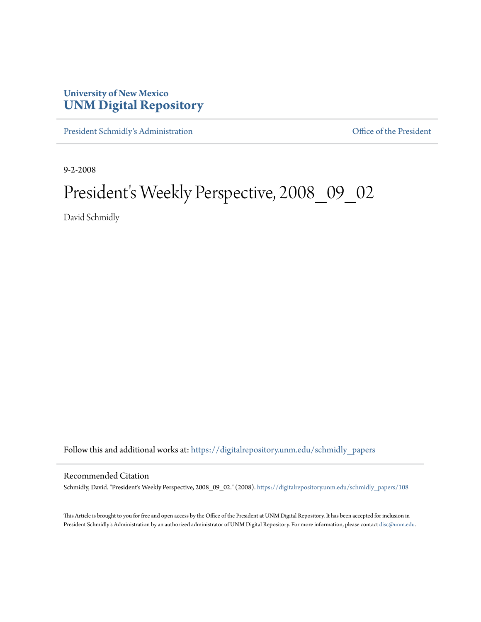## **University of New Mexico [UNM Digital Repository](https://digitalrepository.unm.edu?utm_source=digitalrepository.unm.edu%2Fschmidly_papers%2F108&utm_medium=PDF&utm_campaign=PDFCoverPages)**

[President Schmidly's Administration](https://digitalrepository.unm.edu/schmidly_papers?utm_source=digitalrepository.unm.edu%2Fschmidly_papers%2F108&utm_medium=PDF&utm_campaign=PDFCoverPages) [Office of the President](https://digitalrepository.unm.edu/ofc_president?utm_source=digitalrepository.unm.edu%2Fschmidly_papers%2F108&utm_medium=PDF&utm_campaign=PDFCoverPages)

9-2-2008

# President's Weekly Perspective, 2008\_09\_02

David Schmidly

Follow this and additional works at: [https://digitalrepository.unm.edu/schmidly\\_papers](https://digitalrepository.unm.edu/schmidly_papers?utm_source=digitalrepository.unm.edu%2Fschmidly_papers%2F108&utm_medium=PDF&utm_campaign=PDFCoverPages)

#### Recommended Citation

Schmidly, David. "President's Weekly Perspective, 2008\_09\_02." (2008). [https://digitalrepository.unm.edu/schmidly\\_papers/108](https://digitalrepository.unm.edu/schmidly_papers/108?utm_source=digitalrepository.unm.edu%2Fschmidly_papers%2F108&utm_medium=PDF&utm_campaign=PDFCoverPages)

This Article is brought to you for free and open access by the Office of the President at UNM Digital Repository. It has been accepted for inclusion in President Schmidly's Administration by an authorized administrator of UNM Digital Repository. For more information, please contact [disc@unm.edu](mailto:disc@unm.edu).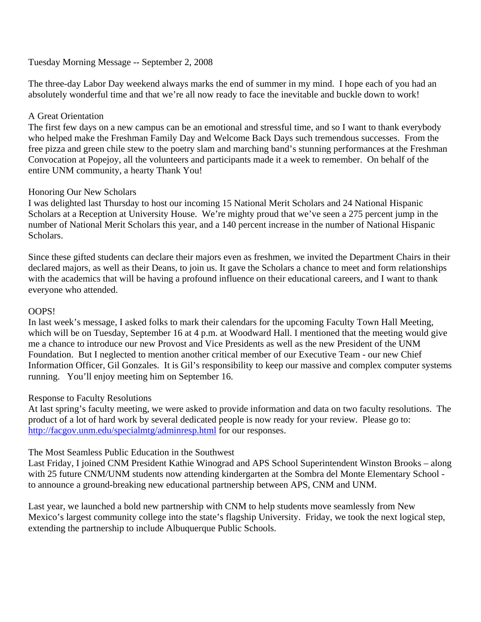### Tuesday Morning Message -- September 2, 2008

The three-day Labor Day weekend always marks the end of summer in my mind. I hope each of you had an absolutely wonderful time and that we're all now ready to face the inevitable and buckle down to work!

### A Great Orientation

The first few days on a new campus can be an emotional and stressful time, and so I want to thank everybody who helped make the Freshman Family Day and Welcome Back Days such tremendous successes. From the free pizza and green chile stew to the poetry slam and marching band's stunning performances at the Freshman Convocation at Popejoy, all the volunteers and participants made it a week to remember. On behalf of the entire UNM community, a hearty Thank You!

#### Honoring Our New Scholars

I was delighted last Thursday to host our incoming 15 National Merit Scholars and 24 National Hispanic Scholars at a Reception at University House. We're mighty proud that we've seen a 275 percent jump in the number of National Merit Scholars this year, and a 140 percent increase in the number of National Hispanic Scholars.

Since these gifted students can declare their majors even as freshmen, we invited the Department Chairs in their declared majors, as well as their Deans, to join us. It gave the Scholars a chance to meet and form relationships with the academics that will be having a profound influence on their educational careers, and I want to thank everyone who attended.

#### OOPS!

In last week's message, I asked folks to mark their calendars for the upcoming Faculty Town Hall Meeting, which will be on Tuesday, September 16 at 4 p.m. at Woodward Hall. I mentioned that the meeting would give me a chance to introduce our new Provost and Vice Presidents as well as the new President of the UNM Foundation. But I neglected to mention another critical member of our Executive Team - our new Chief Information Officer, Gil Gonzales. It is Gil's responsibility to keep our massive and complex computer systems running. You'll enjoy meeting him on September 16.

#### Response to Faculty Resolutions

At last spring's faculty meeting, we were asked to provide information and data on two faculty resolutions. The product of a lot of hard work by several dedicated people is now ready for your review. Please go to: http://facgov.unm.edu/specialmtg/adminresp.html for our responses.

#### The Most Seamless Public Education in the Southwest

Last Friday, I joined CNM President Kathie Winograd and APS School Superintendent Winston Brooks – along with 25 future CNM/UNM students now attending kindergarten at the Sombra del Monte Elementary School to announce a ground-breaking new educational partnership between APS, CNM and UNM.

Last year, we launched a bold new partnership with CNM to help students move seamlessly from New Mexico's largest community college into the state's flagship University. Friday, we took the next logical step, extending the partnership to include Albuquerque Public Schools.